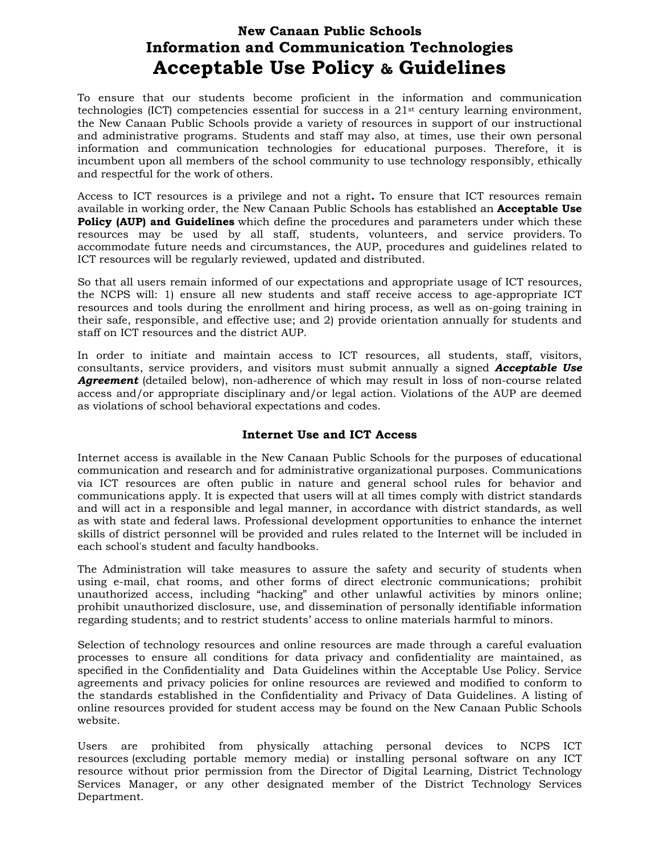# **New Canaan Public Schools Information and Communication Technologies Acceptable Use Policy & Guidelines**

To ensure that our students become proficient in the information and communication technologies (ICT) competencies essential for success in a  $21<sup>st</sup>$  century learning environment, the New Canaan Public Schools provide a variety of resources in support of our instructional and administrative programs. Students and staff may also, at times, use their own personal information and communication technologies for educational purposes. Therefore, it is incumbent upon all members of the school community to use technology responsibly, ethically and respectful for the work of others.

Access to ICT resources is a privilege and not a right*.* To ensure that ICT resources remain available in working order, the New Canaan Public Schools has established an **Acceptable Use Policy (AUP) and Guidelines** which define the procedures and parameters under which these resources may be used by all staff, students, volunteers, and service providers. To accommodate future needs and circumstances, the AUP, procedures and guidelines related to ICT resources will be regularly reviewed, updated and distributed.

So that all users remain informed of our expectations and appropriate usage of ICT resources, the NCPS will: 1) ensure all new students and staff receive access to age-appropriate ICT resources and tools during the enrollment and hiring process, as well as on-going training in their safe, responsible, and effective use; and 2) provide orientation annually for students and staff on ICT resources and the district AUP.

In order to initiate and maintain access to ICT resources, all students, staff, visitors, consultants, service providers, and visitors must submit annually a signed *Acceptable Use*  **Agreement** (detailed below), non-adherence of which may result in loss of non-course related access and/or appropriate disciplinary and/or legal action. Violations of the AUP are deemed as violations of school behavioral expectations and codes.

#### **Internet Use and ICT Access**

Internet access is available in the New Canaan Public Schools for the purposes of educational communication and research and for administrative organizational purposes. Communications via ICT resources are often public in nature and general school rules for behavior and communications apply. It is expected that users will at all times comply with district standards and will act in a responsible and legal manner, in accordance with district standards, as well as with state and federal laws. Professional development opportunities to enhance the internet skills of district personnel will be provided and rules related to the Internet will be included in each school's student and faculty handbooks.

The Administration will take measures to assure the safety and security of students when using e-mail, chat rooms, and other forms of direct electronic communications; prohibit unauthorized access, including "hacking" and other unlawful activities by minors online; prohibit unauthorized disclosure, use, and dissemination of personally identifiable information regarding students; and to restrict students' access to online materials harmful to minors.

Selection of technology resources and online resources are made through a careful evaluation processes to ensure all conditions for data privacy and confidentiality are maintained, as specified in the Confidentiality and Data Guidelines within the Acceptable Use Policy. Service agreements and privacy policies for online resources are reviewed and modified to conform to the standards established in the Confidentiality and Privacy of Data Guidelines. A listing of online resources provided for student access may be found on the New Canaan Public Schools website.

Users are prohibited from physically attaching personal devices to NCPS ICT resources (excluding portable memory media) or installing personal software on any ICT resource without prior permission from the Director of Digital Learning, District Technology Services Manager, or any other designated member of the District Technology Services Department.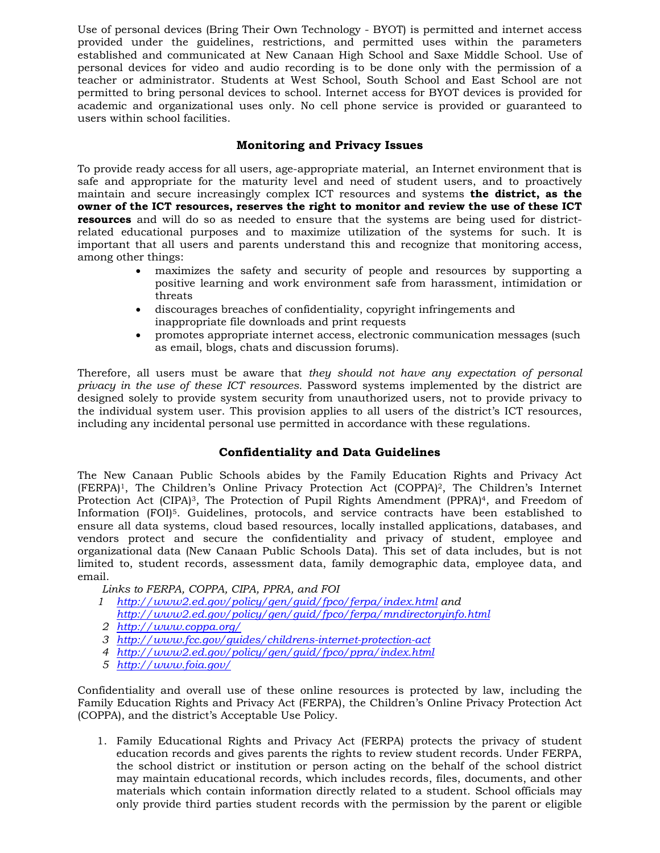Use of personal devices (Bring Their Own Technology - BYOT) is permitted and internet access provided under the guidelines, restrictions, and permitted uses within the parameters established and communicated at New Canaan High School and Saxe Middle School. Use of personal devices for video and audio recording is to be done only with the permission of a teacher or administrator. Students at West School, South School and East School are not permitted to bring personal devices to school. Internet access for BYOT devices is provided for academic and organizational uses only. No cell phone service is provided or guaranteed to users within school facilities.

### **Monitoring and Privacy Issues**

To provide ready access for all users, age-appropriate material, an Internet environment that is safe and appropriate for the maturity level and need of student users, and to proactively maintain and secure increasingly complex ICT resources and systems **the district, as the owner of the ICT resources, reserves the right to monitor and review the use of these ICT resources** and will do so as needed to ensure that the systems are being used for districtrelated educational purposes and to maximize utilization of the systems for such. It is important that all users and parents understand this and recognize that monitoring access, among other things:

- maximizes the safety and security of people and resources by supporting a positive learning and work environment safe from harassment, intimidation or threats
- discourages breaches of confidentiality, copyright infringements and inappropriate file downloads and print requests
- promotes appropriate internet access, electronic communication messages (such as email, blogs, chats and discussion forums).

Therefore, all users must be aware that *they should not have any expectation of personal privacy in the use of these ICT resources.* Password systems implemented by the district are designed solely to provide system security from unauthorized users, not to provide privacy to the individual system user. This provision applies to all users of the district's ICT resources, including any incidental personal use permitted in accordance with these regulations.

## **Confidentiality and Data Guidelines**

The New Canaan Public Schools abides by the Family Education Rights and Privacy Act (FERPA)1, The Children's Online Privacy Protection Act (COPPA)2, The Children's Internet Protection Act (CIPA)<sup>3</sup>, The Protection of Pupil Rights Amendment (PPRA)<sup>4</sup>, and Freedom of Information (FOI)5. Guidelines, protocols, and service contracts have been established to ensure all data systems, cloud based resources, locally installed applications, databases, and vendors protect and secure the confidentiality and privacy of student, employee and organizational data (New Canaan Public Schools Data). This set of data includes, but is not limited to, student records, assessment data, family demographic data, employee data, and email.

*Links to FERPA, COPPA, CIPA, PPRA, and FOI* 

- *1 http://www2.ed.gov/policy/gen/guid/fpco/ferpa/index.html and http://www2.ed.gov/policy/gen/guid/fpco/ferpa/mndirectoryinfo.html*
- *2 http://www.coppa.org/*
- *3 http://www.fcc.gov/guides/childrens-internet-protection-act*
- *4 http://www2.ed.gov/policy/gen/guid/fpco/ppra/index.html*
- *5 http://www.foia.gov/*

Confidentiality and overall use of these online resources is protected by law, including the Family Education Rights and Privacy Act (FERPA), the Children's Online Privacy Protection Act (COPPA), and the district's Acceptable Use Policy.

1. Family Educational Rights and Privacy Act (FERPA) protects the privacy of student education records and gives parents the rights to review student records. Under FERPA, the school district or institution or person acting on the behalf of the school district may maintain educational records, which includes records, files, documents, and other materials which contain information directly related to a student. School officials may only provide third parties student records with the permission by the parent or eligible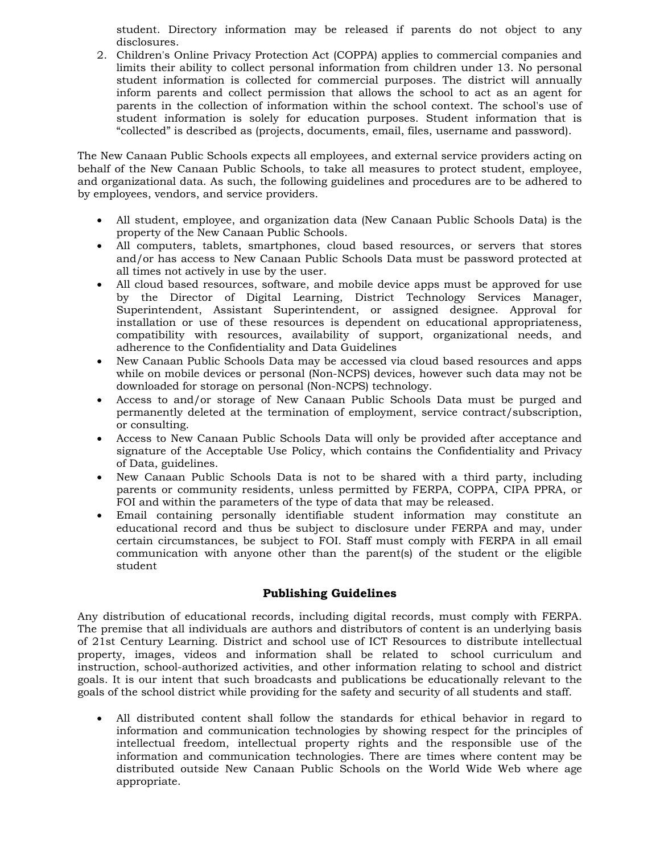student. Directory information may be released if parents do not object to any disclosures.

2. Children's Online Privacy Protection Act (COPPA) applies to commercial companies and limits their ability to collect personal information from children under 13. No personal student information is collected for commercial purposes. The district will annually inform parents and collect permission that allows the school to act as an agent for parents in the collection of information within the school context. The school's use of student information is solely for education purposes. Student information that is "collected" is described as (projects, documents, email, files, username and password).

The New Canaan Public Schools expects all employees, and external service providers acting on behalf of the New Canaan Public Schools, to take all measures to protect student, employee, and organizational data. As such, the following guidelines and procedures are to be adhered to by employees, vendors, and service providers.

- All student, employee, and organization data (New Canaan Public Schools Data) is the property of the New Canaan Public Schools.
- All computers, tablets, smartphones, cloud based resources, or servers that stores and/or has access to New Canaan Public Schools Data must be password protected at all times not actively in use by the user.
- All cloud based resources, software, and mobile device apps must be approved for use by the Director of Digital Learning, District Technology Services Manager, Superintendent, Assistant Superintendent, or assigned designee. Approval for installation or use of these resources is dependent on educational appropriateness, compatibility with resources, availability of support, organizational needs, and adherence to the Confidentiality and Data Guidelines
- New Canaan Public Schools Data may be accessed via cloud based resources and apps while on mobile devices or personal (Non-NCPS) devices, however such data may not be downloaded for storage on personal (Non-NCPS) technology.
- Access to and/or storage of New Canaan Public Schools Data must be purged and permanently deleted at the termination of employment, service contract/subscription, or consulting.
- Access to New Canaan Public Schools Data will only be provided after acceptance and signature of the Acceptable Use Policy, which contains the Confidentiality and Privacy of Data, guidelines.
- New Canaan Public Schools Data is not to be shared with a third party, including parents or community residents, unless permitted by FERPA, COPPA, CIPA PPRA, or FOI and within the parameters of the type of data that may be released.
- Email containing personally identifiable student information may constitute an educational record and thus be subject to disclosure under FERPA and may, under certain circumstances, be subject to FOI. Staff must comply with FERPA in all email communication with anyone other than the parent(s) of the student or the eligible student

#### **Publishing Guidelines**

Any distribution of educational records, including digital records, must comply with FERPA. The premise that all individuals are authors and distributors of content is an underlying basis of 21st Century Learning. District and school use of ICT Resources to distribute intellectual property, images, videos and information shall be related to school curriculum and instruction, school-authorized activities, and other information relating to school and district goals. It is our intent that such broadcasts and publications be educationally relevant to the goals of the school district while providing for the safety and security of all students and staff.

 All distributed content shall follow the standards for ethical behavior in regard to information and communication technologies by showing respect for the principles of intellectual freedom, intellectual property rights and the responsible use of the information and communication technologies. There are times where content may be distributed outside New Canaan Public Schools on the World Wide Web where age appropriate.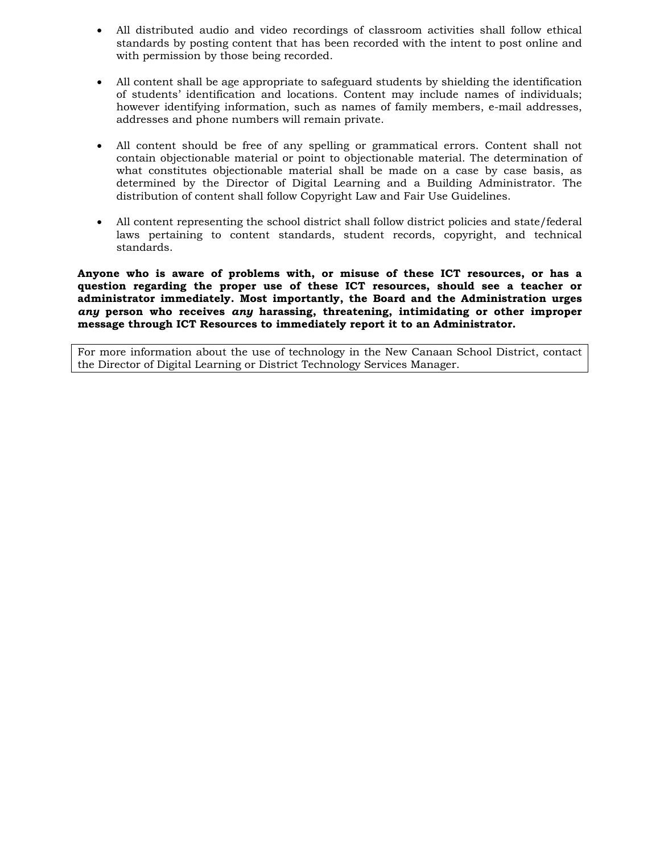- All distributed audio and video recordings of classroom activities shall follow ethical standards by posting content that has been recorded with the intent to post online and with permission by those being recorded.
- All content shall be age appropriate to safeguard students by shielding the identification of students' identification and locations. Content may include names of individuals; however identifying information, such as names of family members, e-mail addresses, addresses and phone numbers will remain private.
- All content should be free of any spelling or grammatical errors. Content shall not contain objectionable material or point to objectionable material. The determination of what constitutes objectionable material shall be made on a case by case basis, as determined by the Director of Digital Learning and a Building Administrator. The distribution of content shall follow Copyright Law and Fair Use Guidelines.
- All content representing the school district shall follow district policies and state/federal laws pertaining to content standards, student records, copyright, and technical standards.

**Anyone who is aware of problems with, or misuse of these ICT resources, or has a question regarding the proper use of these ICT resources, should see a teacher or administrator immediately. Most importantly, the Board and the Administration urges**  *any* **person who receives** *any* **harassing, threatening, intimidating or other improper message through ICT Resources to immediately report it to an Administrator.** 

For more information about the use of technology in the New Canaan School District, contact the Director of Digital Learning or District Technology Services Manager.